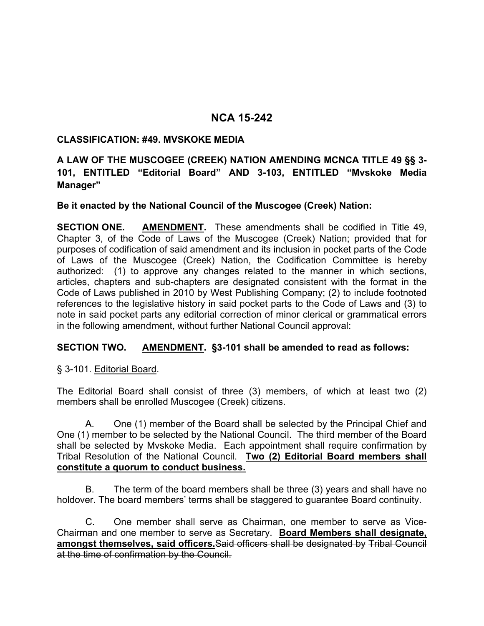# **NCA 15-242**

### **CLASSIFICATION: #49. MVSKOKE MEDIA**

## **A LAW OF THE MUSCOGEE (CREEK) NATION AMENDING MCNCA TITLE 49 §§ 3- 101, ENTITLED "Editorial Board" AND 3-103, ENTITLED "Mvskoke Media Manager"**

### **Be it enacted by the National Council of the Muscogee (Creek) Nation:**

**SECTION ONE. AMENDMENT.** These amendments shall be codified in Title 49, Chapter 3, of the Code of Laws of the Muscogee (Creek) Nation; provided that for purposes of codification of said amendment and its inclusion in pocket parts of the Code of Laws of the Muscogee (Creek) Nation, the Codification Committee is hereby authorized: (1) to approve any changes related to the manner in which sections, articles, chapters and sub-chapters are designated consistent with the format in the Code of Laws published in 2010 by West Publishing Company; (2) to include footnoted references to the legislative history in said pocket parts to the Code of Laws and (3) to note in said pocket parts any editorial correction of minor clerical or grammatical errors in the following amendment, without further National Council approval:

### **SECTION TWO. AMENDMENT. §3-101 shall be amended to read as follows:**

§ 3-101. Editorial Board.

The Editorial Board shall consist of three (3) members, of which at least two (2) members shall be enrolled Muscogee (Creek) citizens.

A. One (1) member of the Board shall be selected by the Principal Chief and One (1) member to be selected by the National Council. The third member of the Board shall be selected by Mvskoke Media. Each appointment shall require confirmation by Tribal Resolution of the National Council. **Two (2) Editorial Board members shall constitute a quorum to conduct business.** 

B. The term of the board members shall be three (3) years and shall have no holdover. The board members' terms shall be staggered to guarantee Board continuity.

C. One member shall serve as Chairman, one member to serve as Vice-Chairman and one member to serve as Secretary. **Board Members shall designate, amongst themselves, said officers.**Said officers shall be designated by Tribal Council at the time of confirmation by the Council.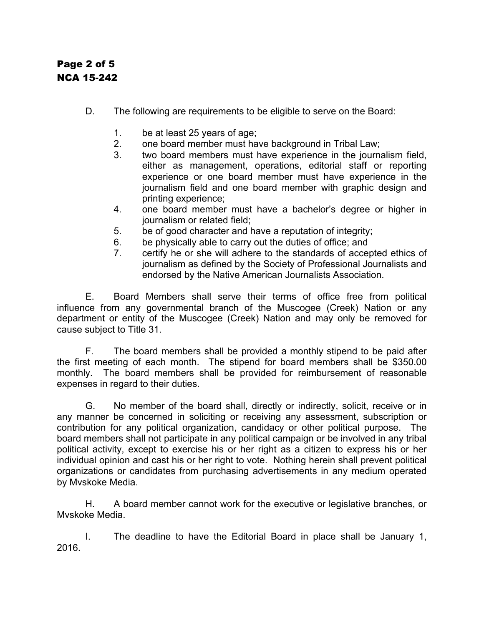# Page 2 of 5 NCA 15-242

- D. The following are requirements to be eligible to serve on the Board:
	- 1. be at least 25 years of age;
	- 2. one board member must have background in Tribal Law;
	- 3. two board members must have experience in the journalism field, either as management, operations, editorial staff or reporting experience or one board member must have experience in the journalism field and one board member with graphic design and printing experience;
	- 4. one board member must have a bachelor's degree or higher in journalism or related field;
	- 5. be of good character and have a reputation of integrity;
	- 6. be physically able to carry out the duties of office; and
	- 7. certify he or she will adhere to the standards of accepted ethics of journalism as defined by the Society of Professional Journalists and endorsed by the Native American Journalists Association.

E. Board Members shall serve their terms of office free from political influence from any governmental branch of the Muscogee (Creek) Nation or any department or entity of the Muscogee (Creek) Nation and may only be removed for cause subject to Title 31.

F. The board members shall be provided a monthly stipend to be paid after the first meeting of each month. The stipend for board members shall be \$350.00 monthly. The board members shall be provided for reimbursement of reasonable expenses in regard to their duties.

G. No member of the board shall, directly or indirectly, solicit, receive or in any manner be concerned in soliciting or receiving any assessment, subscription or contribution for any political organization, candidacy or other political purpose. The board members shall not participate in any political campaign or be involved in any tribal political activity, except to exercise his or her right as a citizen to express his or her individual opinion and cast his or her right to vote. Nothing herein shall prevent political organizations or candidates from purchasing advertisements in any medium operated by Mvskoke Media.

H. A board member cannot work for the executive or legislative branches, or Mvskoke Media.

I. The deadline to have the Editorial Board in place shall be January 1, 2016.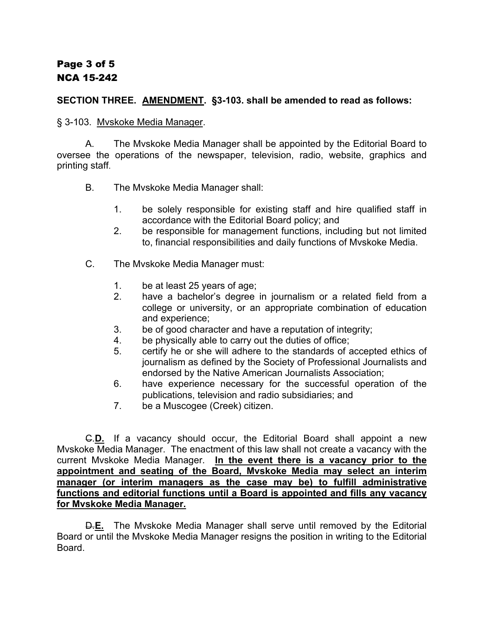### **SECTION THREE. AMENDMENT. §3-103. shall be amended to read as follows:**

§ 3-103. Mvskoke Media Manager.

A. The Mvskoke Media Manager shall be appointed by the Editorial Board to oversee the operations of the newspaper, television, radio, website, graphics and printing staff.

- B. The Mvskoke Media Manager shall:
	- 1. be solely responsible for existing staff and hire qualified staff in accordance with the Editorial Board policy; and
	- 2. be responsible for management functions, including but not limited to, financial responsibilities and daily functions of Mvskoke Media.
- C. The Mvskoke Media Manager must:
	- 1. be at least 25 years of age;
	- 2. have a bachelor's degree in journalism or a related field from a college or university, or an appropriate combination of education and experience;
	- 3. be of good character and have a reputation of integrity;
	- 4. be physically able to carry out the duties of office;
	- 5. certify he or she will adhere to the standards of accepted ethics of journalism as defined by the Society of Professional Journalists and endorsed by the Native American Journalists Association;
	- 6. have experience necessary for the successful operation of the publications, television and radio subsidiaries; and
	- 7. be a Muscogee (Creek) citizen.

C.**D.** If a vacancy should occur, the Editorial Board shall appoint a new Mvskoke Media Manager. The enactment of this law shall not create a vacancy with the current Mvskoke Media Manager. **In the event there is a vacancy prior to the appointment and seating of the Board, Mvskoke Media may select an interim manager (or interim managers as the case may be) to fulfill administrative functions and editorial functions until a Board is appointed and fills any vacancy for Mvskoke Media Manager.**

D.**E.** The Mvskoke Media Manager shall serve until removed by the Editorial Board or until the Mvskoke Media Manager resigns the position in writing to the Editorial Board.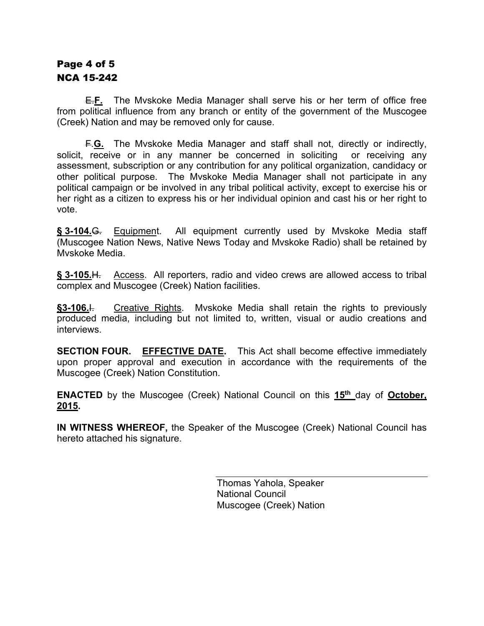# Page 4 of 5 NCA 15-242

E.**F.** The Mvskoke Media Manager shall serve his or her term of office free from political influence from any branch or entity of the government of the Muscogee (Creek) Nation and may be removed only for cause.

F.**G.** The Mvskoke Media Manager and staff shall not, directly or indirectly, solicit, receive or in any manner be concerned in soliciting or receiving any assessment, subscription or any contribution for any political organization, candidacy or other political purpose. The Mvskoke Media Manager shall not participate in any political campaign or be involved in any tribal political activity, except to exercise his or her right as a citizen to express his or her individual opinion and cast his or her right to vote.

**§ 3-104.**G. Equipment. All equipment currently used by Mvskoke Media staff (Muscogee Nation News, Native News Today and Mvskoke Radio) shall be retained by Mvskoke Media.

**§ 3-105.**H. Access. All reporters, radio and video crews are allowed access to tribal complex and Muscogee (Creek) Nation facilities.

**§3-106.**I. Creative Rights. Mvskoke Media shall retain the rights to previously produced media, including but not limited to, written, visual or audio creations and interviews.

**SECTION FOUR. EFFECTIVE DATE.** This Act shall become effective immediately upon proper approval and execution in accordance with the requirements of the Muscogee (Creek) Nation Constitution.

**ENACTED** by the Muscogee (Creek) National Council on this **15th** day of **October, 2015.**

**IN WITNESS WHEREOF,** the Speaker of the Muscogee (Creek) National Council has hereto attached his signature.

> Thomas Yahola, Speaker National Council Muscogee (Creek) Nation